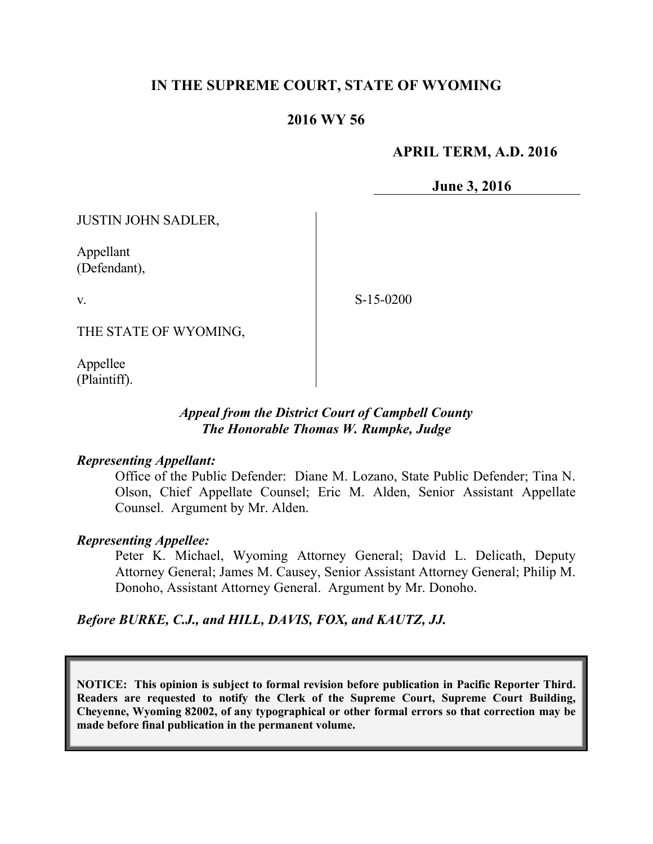# **IN THE SUPREME COURT, STATE OF WYOMING**

# **2016 WY 56**

### **APRIL TERM, A.D. 2016**

**June 3, 2016**

JUSTIN JOHN SADLER,

Appellant (Defendant),

v.

S-15-0200

THE STATE OF WYOMING,

Appellee (Plaintiff).

### *Appeal from the District Court of Campbell County The Honorable Thomas W. Rumpke, Judge*

#### *Representing Appellant:*

Office of the Public Defender: Diane M. Lozano, State Public Defender; Tina N. Olson, Chief Appellate Counsel; Eric M. Alden, Senior Assistant Appellate Counsel. Argument by Mr. Alden.

#### *Representing Appellee:*

Peter K. Michael, Wyoming Attorney General; David L. Delicath, Deputy Attorney General; James M. Causey, Senior Assistant Attorney General; Philip M. Donoho, Assistant Attorney General. Argument by Mr. Donoho.

#### *Before BURKE, C.J., and HILL, DAVIS, FOX, and KAUTZ, JJ.*

**NOTICE: This opinion is subject to formal revision before publication in Pacific Reporter Third. Readers are requested to notify the Clerk of the Supreme Court, Supreme Court Building, Cheyenne, Wyoming 82002, of any typographical or other formal errors so that correction may be made before final publication in the permanent volume.**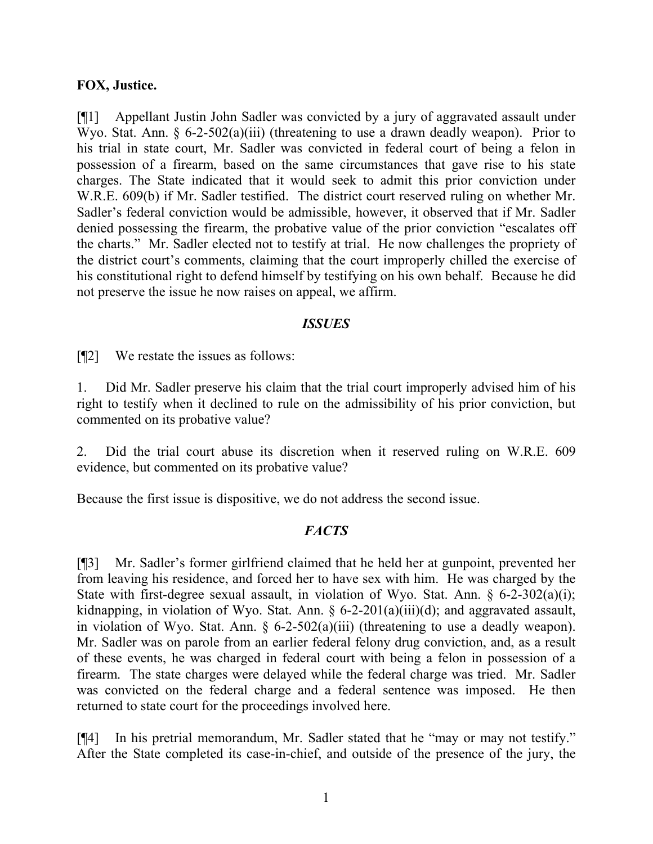#### **FOX, Justice.**

[¶1] Appellant Justin John Sadler was convicted by a jury of aggravated assault under Wyo. Stat. Ann.  $\S 6$ -2-502(a)(iii) (threatening to use a drawn deadly weapon). Prior to his trial in state court, Mr. Sadler was convicted in federal court of being a felon in possession of a firearm, based on the same circumstances that gave rise to his state charges. The State indicated that it would seek to admit this prior conviction under W.R.E. 609(b) if Mr. Sadler testified. The district court reserved ruling on whether Mr. Sadler's federal conviction would be admissible, however, it observed that if Mr. Sadler denied possessing the firearm, the probative value of the prior conviction "escalates off the charts." Mr. Sadler elected not to testify at trial. He now challenges the propriety of the district court's comments, claiming that the court improperly chilled the exercise of his constitutional right to defend himself by testifying on his own behalf. Because he did not preserve the issue he now raises on appeal, we affirm.

### *ISSUES*

[¶2] We restate the issues as follows:

1. Did Mr. Sadler preserve his claim that the trial court improperly advised him of his right to testify when it declined to rule on the admissibility of his prior conviction, but commented on its probative value?

2. Did the trial court abuse its discretion when it reserved ruling on W.R.E. 609 evidence, but commented on its probative value?

Because the first issue is dispositive, we do not address the second issue.

# *FACTS*

[¶3] Mr. Sadler's former girlfriend claimed that he held her at gunpoint, prevented her from leaving his residence, and forced her to have sex with him. He was charged by the State with first-degree sexual assault, in violation of Wyo. Stat. Ann. § 6-2-302(a)(i); kidnapping, in violation of Wyo. Stat. Ann. § 6-2-201(a)(iii)(d); and aggravated assault, in violation of Wyo. Stat. Ann.  $\S$  6-2-502(a)(iii) (threatening to use a deadly weapon). Mr. Sadler was on parole from an earlier federal felony drug conviction, and, as a result of these events, he was charged in federal court with being a felon in possession of a firearm. The state charges were delayed while the federal charge was tried. Mr. Sadler was convicted on the federal charge and a federal sentence was imposed. He then returned to state court for the proceedings involved here.

[¶4] In his pretrial memorandum, Mr. Sadler stated that he "may or may not testify." After the State completed its case-in-chief, and outside of the presence of the jury, the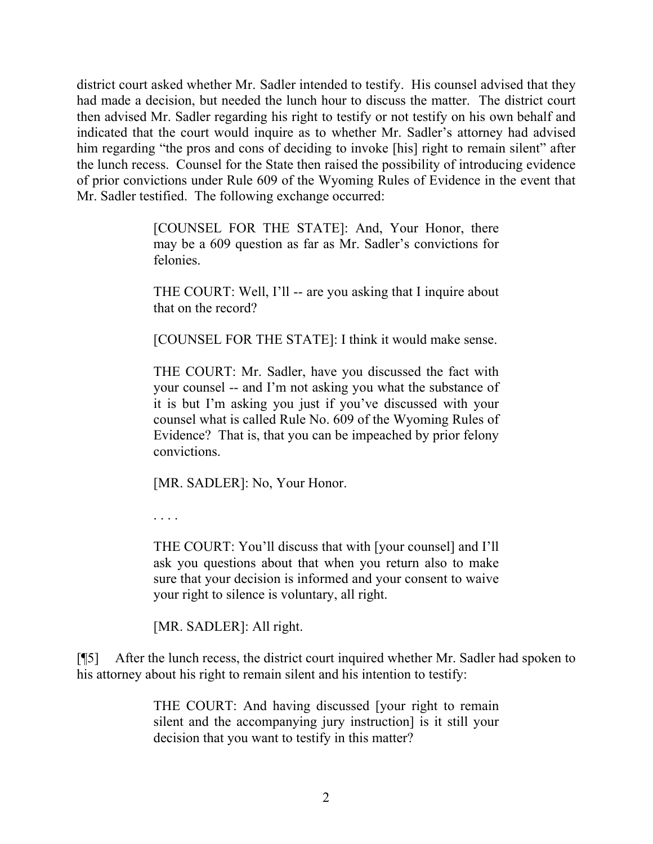district court asked whether Mr. Sadler intended to testify. His counsel advised that they had made a decision, but needed the lunch hour to discuss the matter. The district court then advised Mr. Sadler regarding his right to testify or not testify on his own behalf and indicated that the court would inquire as to whether Mr. Sadler's attorney had advised him regarding "the pros and cons of deciding to invoke [his] right to remain silent" after the lunch recess. Counsel for the State then raised the possibility of introducing evidence of prior convictions under Rule 609 of the Wyoming Rules of Evidence in the event that Mr. Sadler testified. The following exchange occurred:

> [COUNSEL FOR THE STATE]: And, Your Honor, there may be a 609 question as far as Mr. Sadler's convictions for felonies.

> THE COURT: Well, I'll -- are you asking that I inquire about that on the record?

> [COUNSEL FOR THE STATE]: I think it would make sense.

THE COURT: Mr. Sadler, have you discussed the fact with your counsel -- and I'm not asking you what the substance of it is but I'm asking you just if you've discussed with your counsel what is called Rule No. 609 of the Wyoming Rules of Evidence? That is, that you can be impeached by prior felony convictions.

[MR. SADLER]: No, Your Honor.

. . . .

THE COURT: You'll discuss that with [your counsel] and I'll ask you questions about that when you return also to make sure that your decision is informed and your consent to waive your right to silence is voluntary, all right.

[MR. SADLER]: All right.

[¶5] After the lunch recess, the district court inquired whether Mr. Sadler had spoken to his attorney about his right to remain silent and his intention to testify:

> THE COURT: And having discussed [your right to remain silent and the accompanying jury instruction] is it still your decision that you want to testify in this matter?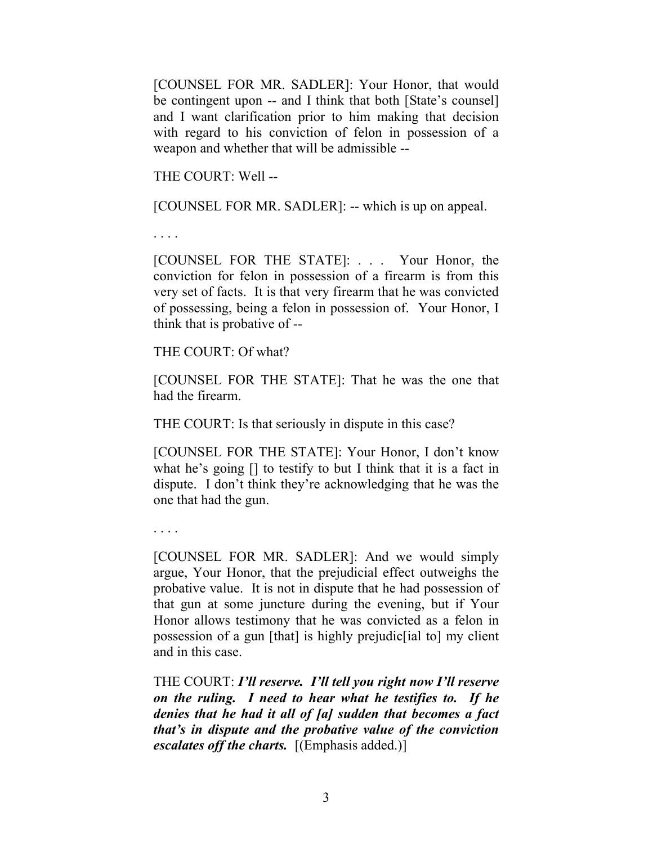[COUNSEL FOR MR. SADLER]: Your Honor, that would be contingent upon -- and I think that both [State's counsel] and I want clarification prior to him making that decision with regard to his conviction of felon in possession of a weapon and whether that will be admissible --

THE COURT: Well --

[COUNSEL FOR MR. SADLER]: -- which is up on appeal.

. . . .

[COUNSEL FOR THE STATE]: . . . Your Honor, the conviction for felon in possession of a firearm is from this very set of facts. It is that very firearm that he was convicted of possessing, being a felon in possession of. Your Honor, I think that is probative of --

THE COURT: Of what?

[COUNSEL FOR THE STATE]: That he was the one that had the firearm.

THE COURT: Is that seriously in dispute in this case?

[COUNSEL FOR THE STATE]: Your Honor, I don't know what he's going [] to testify to but I think that it is a fact in dispute. I don't think they're acknowledging that he was the one that had the gun.

. . . .

[COUNSEL FOR MR. SADLER]: And we would simply argue, Your Honor, that the prejudicial effect outweighs the probative value. It is not in dispute that he had possession of that gun at some juncture during the evening, but if Your Honor allows testimony that he was convicted as a felon in possession of a gun [that] is highly prejudic[ial to] my client and in this case.

THE COURT: *I'll reserve. I'll tell you right now I'll reserve on the ruling. I need to hear what he testifies to. If he denies that he had it all of [a] sudden that becomes a fact that's in dispute and the probative value of the conviction escalates off the charts.*[(Emphasis added.)]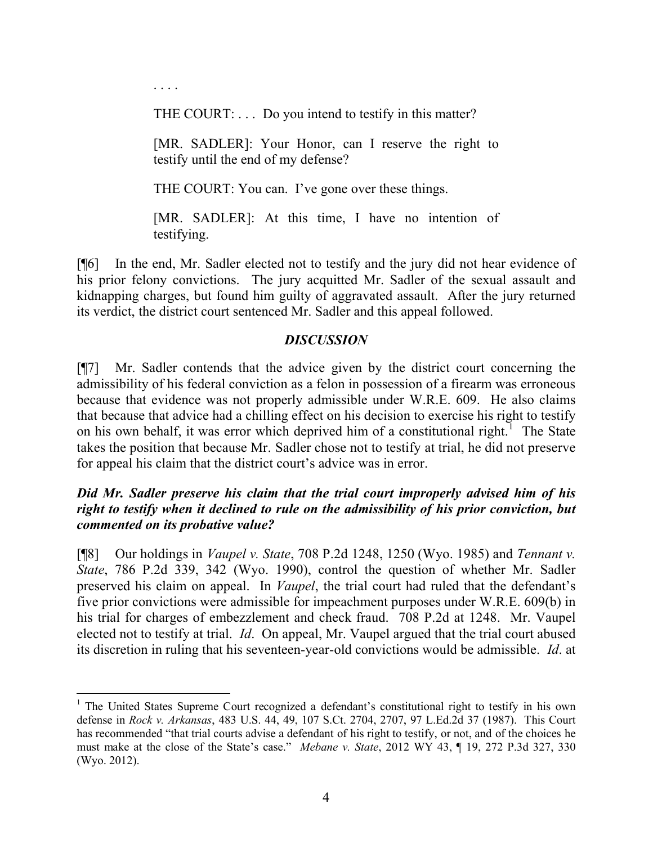. . . .

THE COURT: . . . Do you intend to testify in this matter?

[MR. SADLER]: Your Honor, can I reserve the right to testify until the end of my defense?

THE COURT: You can. I've gone over these things.

[MR. SADLER]: At this time, I have no intention of testifying.

[¶6] In the end, Mr. Sadler elected not to testify and the jury did not hear evidence of his prior felony convictions. The jury acquitted Mr. Sadler of the sexual assault and kidnapping charges, but found him guilty of aggravated assault. After the jury returned its verdict, the district court sentenced Mr. Sadler and this appeal followed.

# *DISCUSSION*

[¶7] Mr. Sadler contends that the advice given by the district court concerning the admissibility of his federal conviction as a felon in possession of a firearm was erroneous because that evidence was not properly admissible under W.R.E. 609. He also claims that because that advice had a chilling effect on his decision to exercise his right to testify on his own behalf, it was error which deprived him of a constitutional right.<sup>1</sup> The State takes the position that because Mr. Sadler chose not to testify at trial, he did not preserve for appeal his claim that the district court's advice was in error.

# *Did Mr. Sadler preserve his claim that the trial court improperly advised him of his right to testify when it declined to rule on the admissibility of his prior conviction, but commented on its probative value?*

[¶8] Our holdings in *Vaupel v. State*, 708 P.2d 1248, 1250 (Wyo. 1985) and *Tennant v. State*, 786 P.2d 339, 342 (Wyo. 1990), control the question of whether Mr. Sadler preserved his claim on appeal. In *Vaupel*, the trial court had ruled that the defendant's five prior convictions were admissible for impeachment purposes under W.R.E. 609(b) in his trial for charges of embezzlement and check fraud. 708 P.2d at 1248. Mr. Vaupel elected not to testify at trial. *Id*. On appeal, Mr. Vaupel argued that the trial court abused its discretion in ruling that his seventeen-year-old convictions would be admissible. *Id*. at

 <sup>1</sup> The United States Supreme Court recognized a defendant's constitutional right to testify in his own defense in *Rock v. Arkansas*, 483 U.S. 44, 49, 107 S.Ct. 2704, 2707, 97 L.Ed.2d 37 (1987). This Court has recommended "that trial courts advise a defendant of his right to testify, or not, and of the choices he must make at the close of the State's case." *Mebane v. State*, 2012 WY 43, ¶ 19, 272 P.3d 327, 330 (Wyo. 2012).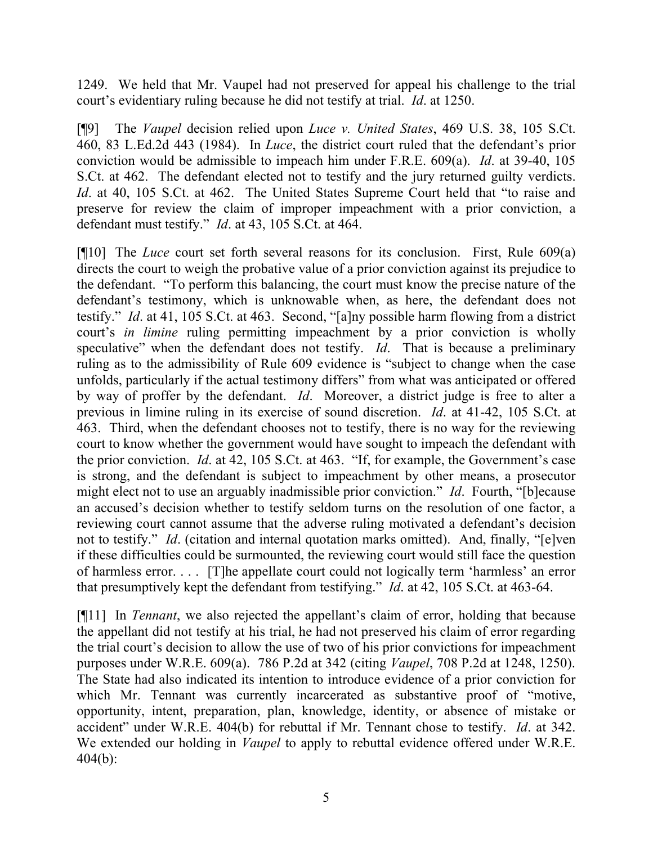1249. We held that Mr. Vaupel had not preserved for appeal his challenge to the trial court's evidentiary ruling because he did not testify at trial. *Id*. at 1250.

[¶9] The *Vaupel* decision relied upon *Luce v. United States*, 469 U.S. 38, 105 S.Ct. 460, 83 L.Ed.2d 443 (1984). In *Luce*, the district court ruled that the defendant's prior conviction would be admissible to impeach him under F.R.E. 609(a). *Id*. at 39-40, 105 S.Ct. at 462. The defendant elected not to testify and the jury returned guilty verdicts. *Id.* at 40, 105 S.Ct. at 462. The United States Supreme Court held that "to raise and preserve for review the claim of improper impeachment with a prior conviction, a defendant must testify." *Id*. at 43, 105 S.Ct. at 464.

[¶10] The *Luce* court set forth several reasons for its conclusion. First, Rule 609(a) directs the court to weigh the probative value of a prior conviction against its prejudice to the defendant. "To perform this balancing, the court must know the precise nature of the defendant's testimony, which is unknowable when, as here, the defendant does not testify." *Id*. at 41, 105 S.Ct. at 463. Second, "[a]ny possible harm flowing from a district court's *in limine* ruling permitting impeachment by a prior conviction is wholly speculative" when the defendant does not testify. *Id*. That is because a preliminary ruling as to the admissibility of Rule 609 evidence is "subject to change when the case unfolds, particularly if the actual testimony differs" from what was anticipated or offered by way of proffer by the defendant. *Id*. Moreover, a district judge is free to alter a previous in limine ruling in its exercise of sound discretion. *Id*. at 41-42, 105 S.Ct. at 463. Third, when the defendant chooses not to testify, there is no way for the reviewing court to know whether the government would have sought to impeach the defendant with the prior conviction. *Id*. at 42, 105 S.Ct. at 463. "If, for example, the Government's case is strong, and the defendant is subject to impeachment by other means, a prosecutor might elect not to use an arguably inadmissible prior conviction." *Id*. Fourth, "[b]ecause an accused's decision whether to testify seldom turns on the resolution of one factor, a reviewing court cannot assume that the adverse ruling motivated a defendant's decision not to testify." *Id*. (citation and internal quotation marks omitted). And, finally, "[e]ven if these difficulties could be surmounted, the reviewing court would still face the question of harmless error. . . . [T]he appellate court could not logically term 'harmless' an error that presumptively kept the defendant from testifying." *Id*. at 42, 105 S.Ct. at 463-64.

[¶11] In *Tennant*, we also rejected the appellant's claim of error, holding that because the appellant did not testify at his trial, he had not preserved his claim of error regarding the trial court's decision to allow the use of two of his prior convictions for impeachment purposes under W.R.E. 609(a). 786 P.2d at 342 (citing *Vaupel*, 708 P.2d at 1248, 1250). The State had also indicated its intention to introduce evidence of a prior conviction for which Mr. Tennant was currently incarcerated as substantive proof of "motive, opportunity, intent, preparation, plan, knowledge, identity, or absence of mistake or accident" under W.R.E. 404(b) for rebuttal if Mr. Tennant chose to testify. *Id*. at 342. We extended our holding in *Vaupel* to apply to rebuttal evidence offered under W.R.E. 404(b):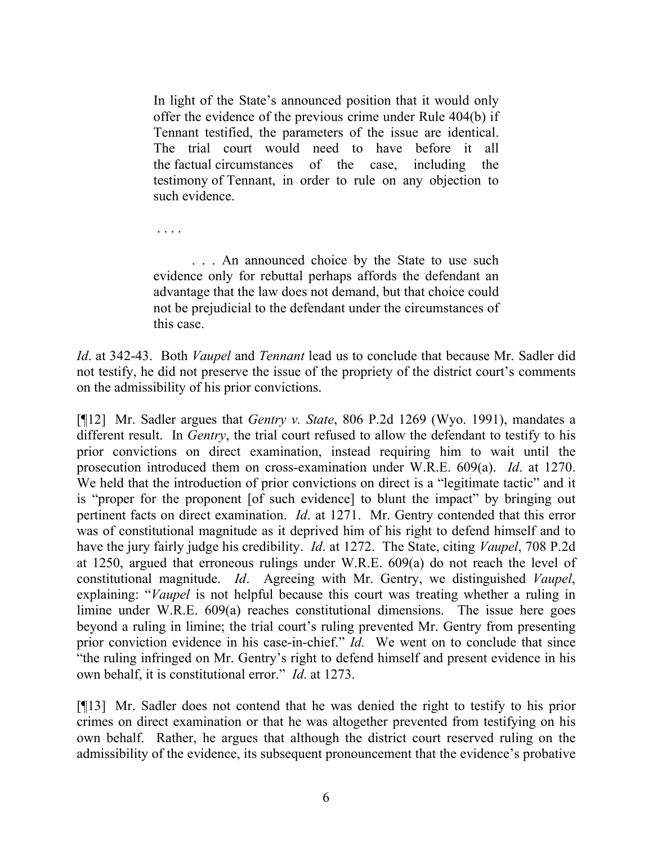In light of the State's announced position that it would only offer the evidence of the previous crime under Rule 404(b) if Tennant testified, the parameters of the issue are identical. The trial court would need to have before it all the factual circumstances of the case, including the testimony of Tennant, in order to rule on any objection to such evidence.

. . . .

. . . An announced choice by the State to use such evidence only for rebuttal perhaps affords the defendant an advantage that the law does not demand, but that choice could not be prejudicial to the defendant under the circumstances of this case.

*Id*. at 342-43. Both *Vaupel* and *Tennant* lead us to conclude that because Mr. Sadler did not testify, he did not preserve the issue of the propriety of the district court's comments on the admissibility of his prior convictions.

[¶12] Mr. Sadler argues that *Gentry v. State*, 806 P.2d 1269 (Wyo. 1991), mandates a different result. In *Gentry*, the trial court refused to allow the defendant to testify to his prior convictions on direct examination, instead requiring him to wait until the prosecution introduced them on cross-examination under W.R.E. 609(a). *Id*. at 1270. We held that the introduction of prior convictions on direct is a "legitimate tactic" and it is "proper for the proponent [of such evidence] to blunt the impact" by bringing out pertinent facts on direct examination. *Id*. at 1271. Mr. Gentry contended that this error was of constitutional magnitude as it deprived him of his right to defend himself and to have the jury fairly judge his credibility. *Id*. at 1272. The State, citing *Vaupel*, 708 P.2d at 1250, argued that erroneous rulings under W.R.E. 609(a) do not reach the level of constitutional magnitude. *Id*. Agreeing with Mr. Gentry, we distinguished *Vaupel*, explaining: "*Vaupel* is not helpful because this court was treating whether a ruling in limine under W.R.E. 609(a) reaches constitutional dimensions. The issue here goes beyond a ruling in limine; the trial court's ruling prevented Mr. Gentry from presenting prior conviction evidence in his case-in-chief." *Id.* We went on to conclude that since "the ruling infringed on Mr. Gentry's right to defend himself and present evidence in his own behalf, it is constitutional error." *Id*. at 1273.

[¶13] Mr. Sadler does not contend that he was denied the right to testify to his prior crimes on direct examination or that he was altogether prevented from testifying on his own behalf. Rather, he argues that although the district court reserved ruling on the admissibility of the evidence, its subsequent pronouncement that the evidence's probative